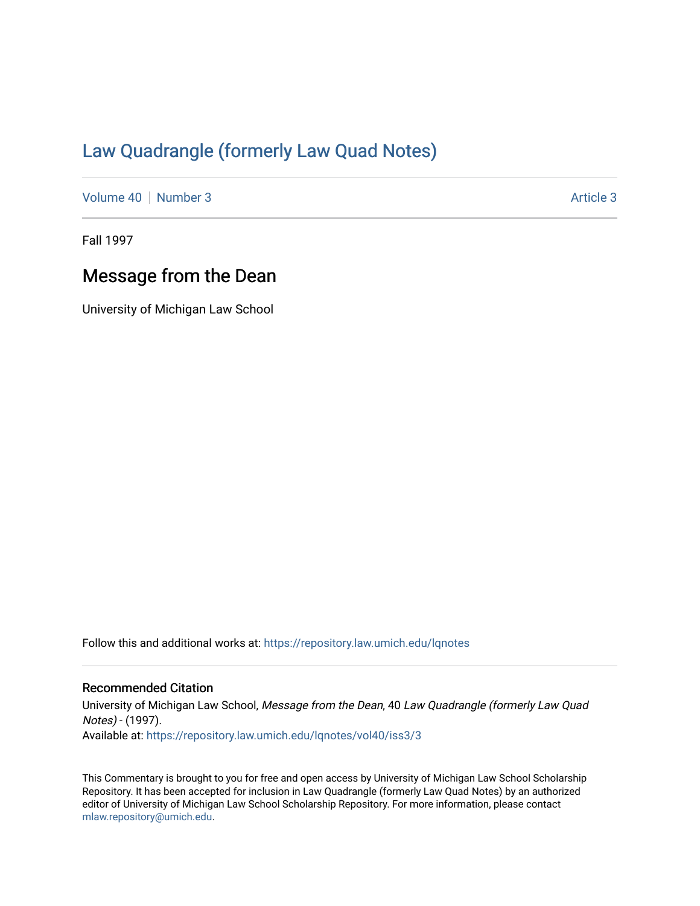## [Law Quadrangle \(formerly Law Quad Notes\)](https://repository.law.umich.edu/lqnotes)

[Volume 40](https://repository.law.umich.edu/lqnotes/vol40) [Number 3](https://repository.law.umich.edu/lqnotes/vol40/iss3) [Article 3](https://repository.law.umich.edu/lqnotes/vol40/iss3/3) Article 3 Article 3

Fall 1997

## Message from the Dean

University of Michigan Law School

Follow this and additional works at: [https://repository.law.umich.edu/lqnotes](https://repository.law.umich.edu/lqnotes?utm_source=repository.law.umich.edu%2Flqnotes%2Fvol40%2Fiss3%2F3&utm_medium=PDF&utm_campaign=PDFCoverPages) 

## Recommended Citation

University of Michigan Law School, Message from the Dean, 40 Law Quadrangle (formerly Law Quad Notes) - (1997). Available at: [https://repository.law.umich.edu/lqnotes/vol40/iss3/3](https://repository.law.umich.edu/lqnotes/vol40/iss3/3?utm_source=repository.law.umich.edu%2Flqnotes%2Fvol40%2Fiss3%2F3&utm_medium=PDF&utm_campaign=PDFCoverPages) 

This Commentary is brought to you for free and open access by University of Michigan Law School Scholarship Repository. It has been accepted for inclusion in Law Quadrangle (formerly Law Quad Notes) by an authorized editor of University of Michigan Law School Scholarship Repository. For more information, please contact [mlaw.repository@umich.edu.](mailto:mlaw.repository@umich.edu)